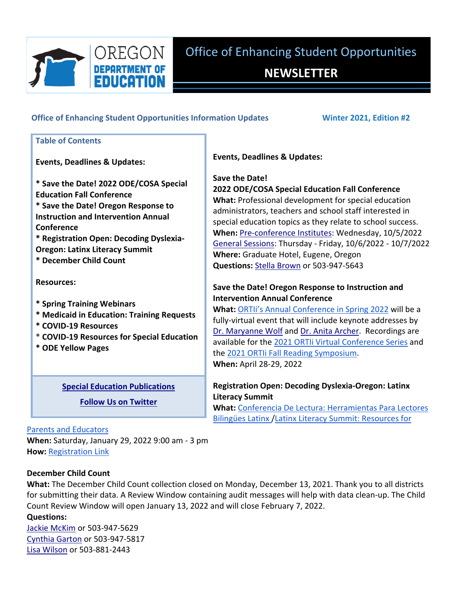

# **NEWSLETTER**

#### **Office of Enhancing Student Opportunities Information Updates Winter 2021, Edition #2**

## **Save the Date! Table of Contents Events, Deadlines & Updates: \* Save the Date! 2022 ODE/COSA Special Education Fall Conference \* Save the Date! Oregon Response to Instruction and Intervention Annual Conference \* Registration Open: Decoding Dyslexia‐ Oregon: Latinx Literacy Summit \* December Child Count Resources: \* Spring Training Webinars \* Medicaid in Education: Training Requests \* COVID‐19 Resources \* COVID‐19 Resources for Special Education**

**\* ODE Yellow Pages**

#### **Special Education [Publications](https://www.oregon.gov/ode/students-and-family/SpecialEducation/publications/Pages/default.aspx)**

**Follow Us on [Twitter](http://www.twitter.com/ORDeptEd)**

#### **Events, Deadlines & Updates:**

### **2022 ODE/COSA Special Education Fall Conference**

**What:** Professional development for special education administrators, teachers and school staff interested in special education topics as they relate to school success. **When:** Pre‐[conference](https://www.cosa.k12.or.us/events/2021-SPED) Institutes: Wednesday, 10/5/2022 General [Sessions:](https://www.cosa.k12.or.us/events/2021-SPED) Thursday ‐ Friday, 10/6/2022 ‐ 10/7/2022 **Where:** Graduate Hotel, Eugene, Oregon **Questions:** Stella [Brown](mailto:stella.brown@state.or.us) or 503‐947‐5643

#### **Save the Date! Oregon Response to Instruction and Intervention Annual Conference**

**What:** ORTIi's Annual [Conference](http://www.oregonrti.org/annual-conference-2022) in Spring 2022 will be a fully‐virtual event that will include keynote addresses by Dr. [Maryanne](https://www.maryannewolf.com/) Wolf and Dr. Anita [Archer](https://explicitinstruction.org/video-elementary/elementary-video-3/). Recordings are available for the 2021 ORTIi Virtual [Conference](https://sites.google.com/ttsd.k12.or.us/2021ortiirecordings/home) Series and the 2021 ORTIi Fall Reading [Symposium.](https://sites.google.com/ttsd.k12.or.us/2021ortii-fallsymposium-videos/home) **When:** April 28‐29, 2022

### **Registration Open: Decoding Dyslexia‐Oregon: Latinx Literacy Summit**

**What:** Conferencia De Lectura: [Herramientas](https://www.decodingdyslexiaor.org/wp-content/uploads/2021/10/LatinX-Summit-Flyer-Spanish-11-30.jpg) Para Lectores Bilingües Latinx /Latinx Literacy Summit: [Resources](https://www.decodingdyslexiaor.org/wp-content/uploads/2021/10/LatinX-Summit-Flyer-Spanish-11-30.jpg) for

#### Parents and [Educators](https://www.decodingdyslexiaor.org/wp-content/uploads/2021/10/LatinX-Summit-Flyer-Spanish-11-30.jpg)

**When:** Saturday, January 29, 2022 9:00 am ‐ 3 pm **How:** [Registration](https://www.eventbrite.com/e/latinx-literacy-summit-tools-for-families-and-educators-registration-206667948397) Link

#### **December Child Count**

**What:** The December Child Count collection closed on Monday, December 13, 2021. Thank you to all districts for submitting their data. A Review Window containing audit messages will help with data clean‐up. The Child Count Review Window will open January 13, 2022 and will close February 7, 2022.

**Questions:**

Jackie [McKim](mailto:Jackie.McKim@state.or.us) or 503‐947‐5629 [Cynthia](mailto:cynthia.garton@state.or.us) Garton or 503‐947‐5817 Lisa [Wilson](mailto:lisa.wilson@state.or.us) or 503‐881‐2443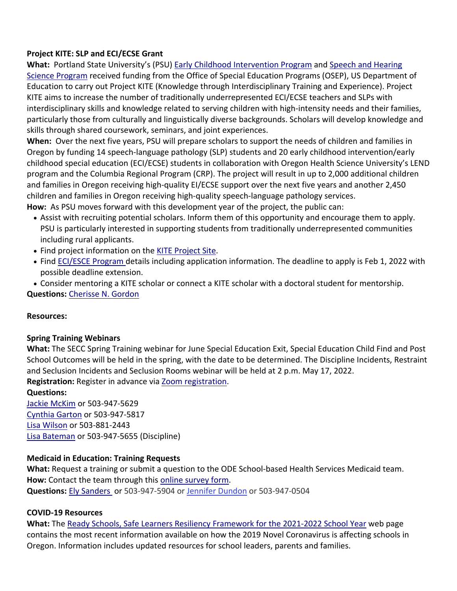#### **Project KITE: SLP and ECI/ECSE Grant**

**What:** Portland State University's (PSU) Early Childhood [Intervention](https://nam02.safelinks.protection.outlook.com/?url=https%3A%2F%2Fsites.google.com%2Fpdx.edu%2Fpsuecip%2Fhome&data=04%7C01%7Clinda.brown%40ode.state.or.us%7C4025b770157745a9352c08d9a097b8be%7Cb4f51418b26949a2935afa54bf584fc8%7C0%7C0%7C637717395794914367%7CUnknown%7CTWFpbGZsb3d8eyJWIjoiMC4wLjAwMDAiLCJQIjoiV2luMzIiLCJBTiI6Ik1haWwiLCJXVCI6Mn0%3D%7C1000&sdata=vkcWgG2DxK6S24uRwQx0WkMlDurIK4SO8FsW6Ch3zMA%3D&reserved=0) Program and Speech and [Hearing](https://nam02.safelinks.protection.outlook.com/?url=https%3A%2F%2Fwww.pdx.edu%2Fspeech-hearing-sciences%2Facademics%2Fprograms%2Fgraduate%2Fspeech-and-hearing-sciences&data=04%7C01%7Clinda.brown%40ode.state.or.us%7C4025b770157745a9352c08d9a097b8be%7Cb4f51418b26949a2935afa54bf584fc8%7C0%7C0%7C637717395794924363%7CUnknown%7CTWFpbGZsb3d8eyJWIjoiMC4wLjAwMDAiLCJQIjoiV2luMzIiLCJBTiI6Ik1haWwiLCJXVCI6Mn0%3D%7C1000&sdata=xf0MHEc3hrjZojNPd3kqUJH3yeg41wLEzMMtFf6syDA%3D&reserved=0) Science [Program](https://nam02.safelinks.protection.outlook.com/?url=https%3A%2F%2Fwww.pdx.edu%2Fspeech-hearing-sciences%2Facademics%2Fprograms%2Fgraduate%2Fspeech-and-hearing-sciences&data=04%7C01%7Clinda.brown%40ode.state.or.us%7C4025b770157745a9352c08d9a097b8be%7Cb4f51418b) received funding from the Office of Special Education Programs (OSEP), US Department of Education to carry out Project KITE (Knowledge through Interdisciplinary Training and Experience). Project KITE aims to increase the number of traditionally underrepresented ECI/ECSE teachers and SLPs with interdisciplinary skills and knowledge related to serving children with high-intensity needs and their families, particularly those from culturally and linguistically diverse backgrounds. Scholars will develop knowledge and skills through shared coursework, seminars, and joint experiences.

**When:** Over the next five years, PSU will prepare scholars to support the needs of children and families in Oregon by funding 14 speech‐language pathology (SLP) students and 20 early childhood intervention/early childhood special education (ECI/ECSE) students in collaboration with Oregon Health Science University's LEND program and the Columbia Regional Program (CRP). The project will result in up to 2,000 additional children and families in Oregon receiving high‐quality EI/ECSE support over the next five years and another 2,450 children and families in Oregon receiving high‐quality speech‐language pathology services.

**How:** As PSU moves forward with this development year of the project, the public can:

- Assist with recruiting potential scholars. Inform them of this opportunity and encourage them to apply. PSU is particularly interested in supporting students from traditionally underrepresented communities including rural applicants.
- Find project information on the KITE [Project](https://nam02.safelinks.protection.outlook.com/?url=https%3A%2F%2Fsites.google.com%2Fpdx.edu%2Fkite%2Fabout&data=04%7C01%7Clinda.brown%40ode.state.or.us%7C4025b770157745a9352c08d9a097b8be%7Cb4f51418b26949a2935afa54bf584fc8%7C0%7C0%7C637717395794924363%7CUnknown%7CTWFpbGZsb3d8eyJWIjoiMC4wLjAwMDAiLCJQIjoiV2luMzIiLCJBTiI6Ik1haWwiLCJXVCI6Mn0%3D%7C1000&sdata=zEGwPiW%2FXCvVwR8qsq8TPhM6sB7z2wilVmw%2B1iB9xPA%3D&reserved=0) Site.
- Find [ECI/ESCE](https://nam02.safelinks.protection.outlook.com/?url=https%3A%2F%2Fsites.google.com%2Fpdx.edu%2Fpsuecip%2Fhome&data=04%7C01%7Clinda.brown%40ode.state.or.us%7C4025b770157745a9352c08d9a097b8be%7Cb4f51418b26949a2935afa54bf584fc8%7C0%7C0%7C637717395794944355%7CUnknown%7CTWFpbGZsb3d8eyJWIjoiMC4wLjAwMDAiLCJQIjoiV2luMzIiLCJBTiI6Ik1haWwiLCJXVCI6Mn0%3D%7C1000&sdata=GiLhn4NvuYYuuc%2BPRXtoQCbyhfqLAu%2FJUp8c%2BxJW0lU%3D&reserved=0) Program details including application information. The deadline to apply is Feb 1, 2022 with possible deadline extension.
- Consider mentoring a KITE scholar or connect a KITE scholar with a doctoral student for mentorship.

**Questions:** [Cherisse](mailto:cherisse.loop@oregon.ode.gov) N. Gordon

#### **Resources:**

#### **Spring Training Webinars**

**What:** The SECC Spring Training webinar for June Special Education Exit, Special Education Child Find and Post School Outcomes will be held in the spring, with the date to be determined. The Discipline Incidents, Restraint and Seclusion Incidents and Seclusion Rooms webinar will be held at 2 p.m. May 17, 2022. **Registration:** Register in advance via Zoom [registration.](https://www.zoomgov.com/meeting/register/vJItdeuqrjIrGOEpPdp4fhjB_K9yGu5kBbw)

#### **Questions:**

Jackie [McKim](mailto:Jackie.McKim@state.or.us) or 503‐947‐5629 [Cynthia](mailto:cynthia.garton@state.or.us) Garton or 503‐947‐5817 Lisa [Wilson](mailto:lisa.wilson@state.or.us) or 503‐881‐2443 Lisa [Bateman](mailto:lisa.bateman@state.or.us) or 503‐947‐5655 (Discipline)

#### **Medicaid in Education: Training Requests**

**What:** Request a training or submit a question to the ODE School‐based Health Services Medicaid team. **How:** Contact the team through this online [survey](https://app.smartsheet.com/b/form/2b1e6b4d9be64ae3b18e1c41b3210cf9) form. **Questions:** Ely [Sanders](mailto:ely.sanders@state.or.us) or 503‐947‐5904 or Jennifer [Dundon](mailto:Jennifer.M.Ross@ode.state.or.us) or 503‐947‐0504

#### **COVID‐19 Resources**

**What:** The Ready Schools, Safe Learners Resiliency [Framework](https://www.oregon.gov/ode/readyschools/Pages/default.aspx) for the 2021‐2022 School Year web page contains the most recent information available on how the 2019 Novel Coronavirus is affecting schools in Oregon. Information includes updated resources for school leaders, parents and families.